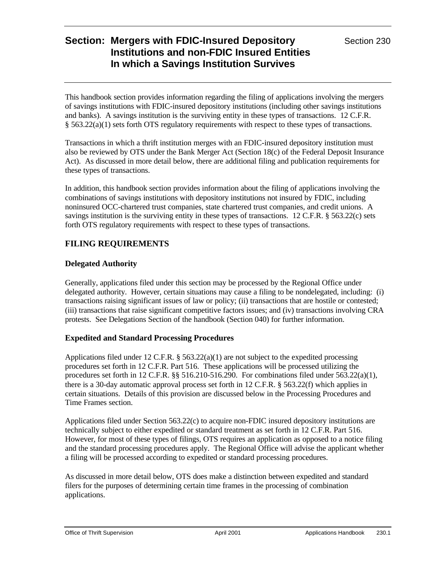This handbook section provides information regarding the filing of applications involving the mergers of savings institutions with FDIC-insured depository institutions (including other savings institutions and banks). A savings institution is the surviving entity in these types of transactions. 12 C.F.R. § 563.22(a)(1) sets forth OTS regulatory requirements with respect to these types of transactions.

Transactions in which a thrift institution merges with an FDIC-insured depository institution must also be reviewed by OTS under the Bank Merger Act (Section 18(c) of the Federal Deposit Insurance Act). As discussed in more detail below, there are additional filing and publication requirements for these types of transactions.

In addition, this handbook section provides information about the filing of applications involving the combinations of savings institutions with depository institutions not insured by FDIC, including noninsured OCC-chartered trust companies, state chartered trust companies, and credit unions. A savings institution is the surviving entity in these types of transactions. 12 C.F.R. § 563.22(c) sets forth OTS regulatory requirements with respect to these types of transactions.

## **FILING REQUIREMENTS**

### **Delegated Authority**

Generally, applications filed under this section may be processed by the Regional Office under delegated authority. However, certain situations may cause a filing to be nondelegated, including: (i) transactions raising significant issues of law or policy; (ii) transactions that are hostile or contested; (iii) transactions that raise significant competitive factors issues; and (iv) transactions involving CRA protests. See Delegations Section of the handbook (Section 040) for further information.

## **Expedited and Standard Processing Procedures**

Applications filed under 12 C.F.R. § 563.22(a)(1) are not subject to the expedited processing procedures set forth in 12 C.F.R. Part 516. These applications will be processed utilizing the procedures set forth in 12 C.F.R.  $\S$ § 516.210-516.290. For combinations filed under 563.22(a)(1), there is a 30-day automatic approval process set forth in 12 C.F.R. § 563.22(f) which applies in certain situations. Details of this provision are discussed below in the Processing Procedures and Time Frames section.

Applications filed under Section 563.22(c) to acquire non-FDIC insured depository institutions are technically subject to either expedited or standard treatment as set forth in 12 C.F.R. Part 516. However, for most of these types of filings, OTS requires an application as opposed to a notice filing and the standard processing procedures apply. The Regional Office will advise the applicant whether a filing will be processed according to expedited or standard processing procedures.

As discussed in more detail below, OTS does make a distinction between expedited and standard filers for the purposes of determining certain time frames in the processing of combination applications.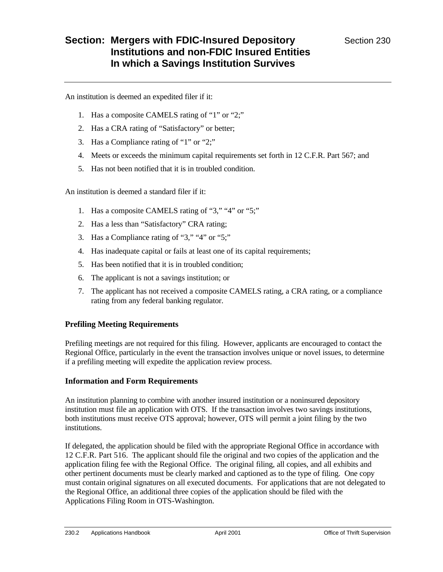An institution is deemed an expedited filer if it:

- 1. Has a composite CAMELS rating of "1" or "2;"
- 2. Has a CRA rating of "Satisfactory" or better;
- 3. Has a Compliance rating of "1" or "2;"
- 4. Meets or exceeds the minimum capital requirements set forth in 12 C.F.R. Part 567; and
- 5. Has not been notified that it is in troubled condition.

An institution is deemed a standard filer if it:

- 1. Has a composite CAMELS rating of "3," "4" or "5;"
- 2. Has a less than "Satisfactory" CRA rating;
- 3. Has a Compliance rating of "3," "4" or "5;"
- 4. Has inadequate capital or fails at least one of its capital requirements;
- 5. Has been notified that it is in troubled condition;
- 6. The applicant is not a savings institution; or
- 7. The applicant has not received a composite CAMELS rating, a CRA rating, or a compliance rating from any federal banking regulator.

### **Prefiling Meeting Requirements**

Prefiling meetings are not required for this filing. However, applicants are encouraged to contact the Regional Office, particularly in the event the transaction involves unique or novel issues, to determine if a prefiling meeting will expedite the application review process.

#### **Information and Form Requirements**

An institution planning to combine with another insured institution or a noninsured depository institution must file an application with OTS. If the transaction involves two savings institutions, both institutions must receive OTS approval; however, OTS will permit a joint filing by the two institutions.

If delegated, the application should be filed with the appropriate Regional Office in accordance with 12 C.F.R. Part 516. The applicant should file the original and two copies of the application and the application filing fee with the Regional Office. The original filing, all copies, and all exhibits and other pertinent documents must be clearly marked and captioned as to the type of filing. One copy must contain original signatures on all executed documents. For applications that are not delegated to the Regional Office, an additional three copies of the application should be filed with the Applications Filing Room in OTS-Washington.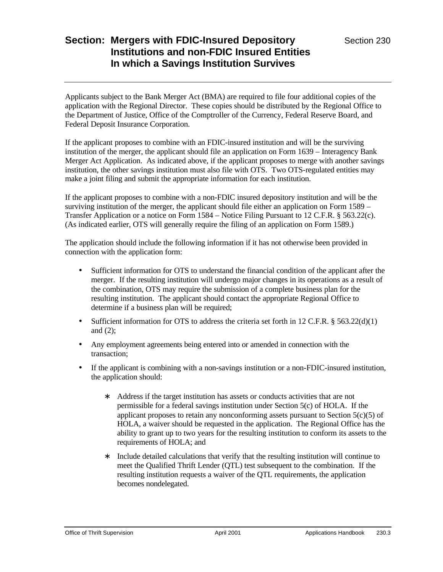Applicants subject to the Bank Merger Act (BMA) are required to file four additional copies of the application with the Regional Director. These copies should be distributed by the Regional Office to the Department of Justice, Office of the Comptroller of the Currency, Federal Reserve Board, and Federal Deposit Insurance Corporation.

If the applicant proposes to combine with an FDIC-insured institution and will be the surviving institution of the merger, the applicant should file an application on Form 1639 – Interagency Bank Merger Act Application. As indicated above, if the applicant proposes to merge with another savings institution, the other savings institution must also file with OTS. Two OTS-regulated entities may make a joint filing and submit the appropriate information for each institution.

If the applicant proposes to combine with a non-FDIC insured depository institution and will be the surviving institution of the merger, the applicant should file either an application on Form 1589 – Transfer Application or a notice on Form 1584 – Notice Filing Pursuant to 12 C.F.R. § 563.22(c). (As indicated earlier, OTS will generally require the filing of an application on Form 1589.)

The application should include the following information if it has not otherwise been provided in connection with the application form:

- Sufficient information for OTS to understand the financial condition of the applicant after the merger. If the resulting institution will undergo major changes in its operations as a result of the combination, OTS may require the submission of a complete business plan for the resulting institution. The applicant should contact the appropriate Regional Office to determine if a business plan will be required;
- Sufficient information for OTS to address the criteria set forth in 12 C.F.R. § 563.22(d)(1) and (2);
- Any employment agreements being entered into or amended in connection with the transaction;
- If the applicant is combining with a non-savings institution or a non-FDIC-insured institution, the application should:
	- ∗ Address if the target institution has assets or conducts activities that are not permissible for a federal savings institution under Section 5(c) of HOLA. If the applicant proposes to retain any nonconforming assets pursuant to Section 5(c)(5) of HOLA, a waiver should be requested in the application. The Regional Office has the ability to grant up to two years for the resulting institution to conform its assets to the requirements of HOLA; and
	- ∗ Include detailed calculations that verify that the resulting institution will continue to meet the Qualified Thrift Lender (QTL) test subsequent to the combination. If the resulting institution requests a waiver of the QTL requirements, the application becomes nondelegated.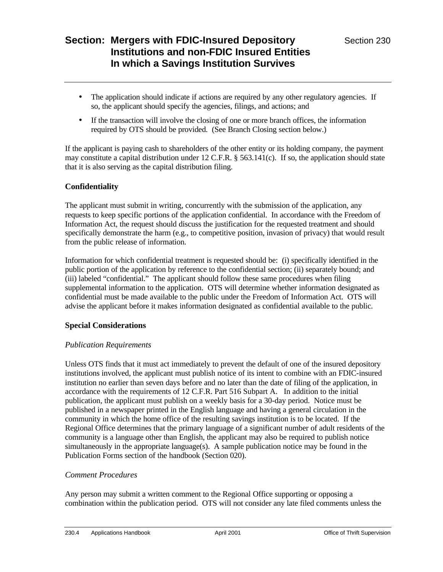- The application should indicate if actions are required by any other regulatory agencies. If so, the applicant should specify the agencies, filings, and actions; and
- If the transaction will involve the closing of one or more branch offices, the information required by OTS should be provided. (See Branch Closing section below.)

If the applicant is paying cash to shareholders of the other entity or its holding company, the payment may constitute a capital distribution under  $12 \text{ C.F.R.}$  § 563.141(c). If so, the application should state that it is also serving as the capital distribution filing.

### **Confidentiality**

The applicant must submit in writing, concurrently with the submission of the application, any requests to keep specific portions of the application confidential. In accordance with the Freedom of Information Act, the request should discuss the justification for the requested treatment and should specifically demonstrate the harm (e.g., to competitive position, invasion of privacy) that would result from the public release of information.

Information for which confidential treatment is requested should be: (i) specifically identified in the public portion of the application by reference to the confidential section; (ii) separately bound; and (iii) labeled "confidential." The applicant should follow these same procedures when filing supplemental information to the application. OTS will determine whether information designated as confidential must be made available to the public under the Freedom of Information Act. OTS will advise the applicant before it makes information designated as confidential available to the public.

### **Special Considerations**

### *Publication Requirements*

Unless OTS finds that it must act immediately to prevent the default of one of the insured depository institutions involved, the applicant must publish notice of its intent to combine with an FDIC-insured institution no earlier than seven days before and no later than the date of filing of the application, in accordance with the requirements of 12 C.F.R. Part 516 Subpart A. In addition to the initial publication, the applicant must publish on a weekly basis for a 30-day period. Notice must be published in a newspaper printed in the English language and having a general circulation in the community in which the home office of the resulting savings institution is to be located. If the Regional Office determines that the primary language of a significant number of adult residents of the community is a language other than English, the applicant may also be required to publish notice simultaneously in the appropriate language(s). A sample publication notice may be found in the Publication Forms section of the handbook (Section 020).

### *Comment Procedures*

Any person may submit a written comment to the Regional Office supporting or opposing a combination within the publication period. OTS will not consider any late filed comments unless the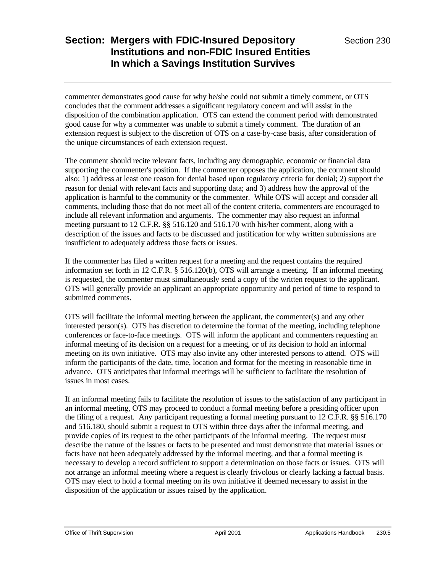commenter demonstrates good cause for why he/she could not submit a timely comment, or OTS concludes that the comment addresses a significant regulatory concern and will assist in the disposition of the combination application. OTS can extend the comment period with demonstrated good cause for why a commenter was unable to submit a timely comment. The duration of an extension request is subject to the discretion of OTS on a case-by-case basis, after consideration of the unique circumstances of each extension request.

The comment should recite relevant facts, including any demographic, economic or financial data supporting the commenter's position. If the commenter opposes the application, the comment should also: 1) address at least one reason for denial based upon regulatory criteria for denial; 2) support the reason for denial with relevant facts and supporting data; and 3) address how the approval of the application is harmful to the community or the commenter. While OTS will accept and consider all comments, including those that do not meet all of the content criteria, commenters are encouraged to include all relevant information and arguments. The commenter may also request an informal meeting pursuant to 12 C.F.R. §§ 516.120 and 516.170 with his/her comment, along with a description of the issues and facts to be discussed and justification for why written submissions are insufficient to adequately address those facts or issues.

If the commenter has filed a written request for a meeting and the request contains the required information set forth in 12 C.F.R. § 516.120(b), OTS will arrange a meeting. If an informal meeting is requested, the commenter must simultaneously send a copy of the written request to the applicant. OTS will generally provide an applicant an appropriate opportunity and period of time to respond to submitted comments.

OTS will facilitate the informal meeting between the applicant, the commenter(s) and any other interested person(s). OTS has discretion to determine the format of the meeting, including telephone conferences or face-to-face meetings. OTS will inform the applicant and commenters requesting an informal meeting of its decision on a request for a meeting, or of its decision to hold an informal meeting on its own initiative. OTS may also invite any other interested persons to attend. OTS will inform the participants of the date, time, location and format for the meeting in reasonable time in advance. OTS anticipates that informal meetings will be sufficient to facilitate the resolution of issues in most cases.

If an informal meeting fails to facilitate the resolution of issues to the satisfaction of any participant in an informal meeting, OTS may proceed to conduct a formal meeting before a presiding officer upon the filing of a request. Any participant requesting a formal meeting pursuant to 12 C.F.R. §§ 516.170 and 516.180, should submit a request to OTS within three days after the informal meeting, and provide copies of its request to the other participants of the informal meeting. The request must describe the nature of the issues or facts to be presented and must demonstrate that material issues or facts have not been adequately addressed by the informal meeting, and that a formal meeting is necessary to develop a record sufficient to support a determination on those facts or issues. OTS will not arrange an informal meeting where a request is clearly frivolous or clearly lacking a factual basis. OTS may elect to hold a formal meeting on its own initiative if deemed necessary to assist in the disposition of the application or issues raised by the application.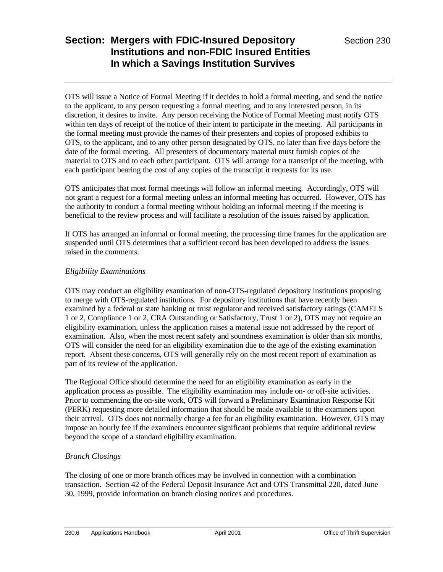OTS will issue a Notice of Formal Meeting if it decides to hold a formal meeting, and send the notice to the applicant, to any person requesting a formal meeting, and to any interested person, in its discretion, it desires to invite. Any person receiving the Notice of Formal Meeting must notify OTS within ten days of receipt of the notice of their intent to participate in the meeting. All participants in the formal meeting must provide the names of their presenters and copies of proposed exhibits to OTS, to the applicant, and to any other person designated by OTS, no later than five days before the date of the formal meeting. All presenters of documentary material must furnish copies of the material to OTS and to each other participant. OTS will arrange for a transcript of the meeting, with each participant bearing the cost of any copies of the transcript it requests for its use.

OTS anticipates that most formal meetings will follow an informal meeting. Accordingly, OTS will not grant a request for a formal meeting unless an informal meeting has occurred. However, OTS has the authority to conduct a formal meeting without holding an informal meeting if the meeting is beneficial to the review process and will facilitate a resolution of the issues raised by application.

If OTS has arranged an informal or formal meeting, the processing time frames for the application are suspended until OTS determines that a sufficient record has been developed to address the issues raised in the comments.

### *Eligibility Examinations*

OTS may conduct an eligibility examination of non-OTS-regulated depository institutions proposing to merge with OTS-regulated institutions. For depository institutions that have recently been examined by a federal or state banking or trust regulator and received satisfactory ratings (CAMELS 1 or 2, Compliance 1 or 2, CRA Outstanding or Satisfactory, Trust 1 or 2), OTS may not require an eligibility examination, unless the application raises a material issue not addressed by the report of examination. Also, when the most recent safety and soundness examination is older than six months, OTS will consider the need for an eligibility examination due to the age of the existing examination report. Absent these concerns, OTS will generally rely on the most recent report of examination as part of its review of the application.

The Regional Office should determine the need for an eligibility examination as early in the application process as possible. The eligibility examination may include on- or off-site activities. Prior to commencing the on-site work, OTS will forward a Preliminary Examination Response Kit (PERK) requesting more detailed information that should be made available to the examiners upon their arrival. OTS does not normally charge a fee for an eligibility examination. However, OTS may impose an hourly fee if the examiners encounter significant problems that require additional review beyond the scope of a standard eligibility examination.

### *Branch Closings*

The closing of one or more branch offices may be involved in connection with a combination transaction. Section 42 of the Federal Deposit Insurance Act and OTS Transmittal 220, dated June 30, 1999, provide information on branch closing notices and procedures.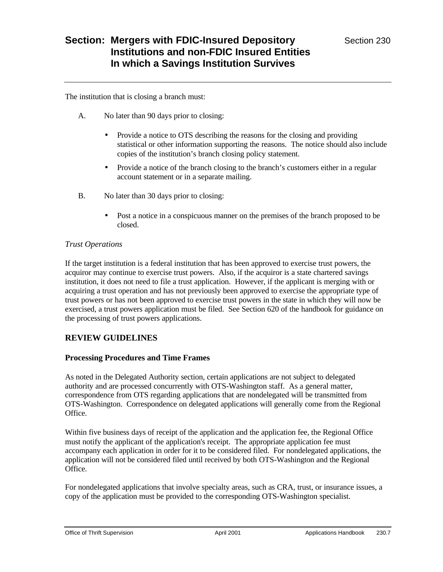The institution that is closing a branch must:

- A. No later than 90 days prior to closing:
	- Provide a notice to OTS describing the reasons for the closing and providing statistical or other information supporting the reasons. The notice should also include copies of the institution's branch closing policy statement.
	- Provide a notice of the branch closing to the branch's customers either in a regular account statement or in a separate mailing.
- B. No later than 30 days prior to closing:
	- Post a notice in a conspicuous manner on the premises of the branch proposed to be closed.

#### *Trust Operations*

If the target institution is a federal institution that has been approved to exercise trust powers, the acquiror may continue to exercise trust powers. Also, if the acquiror is a state chartered savings institution, it does not need to file a trust application. However, if the applicant is merging with or acquiring a trust operation and has not previously been approved to exercise the appropriate type of trust powers or has not been approved to exercise trust powers in the state in which they will now be exercised, a trust powers application must be filed. See Section 620 of the handbook for guidance on the processing of trust powers applications.

### **REVIEW GUIDELINES**

#### **Processing Procedures and Time Frames**

As noted in the Delegated Authority section, certain applications are not subject to delegated authority and are processed concurrently with OTS-Washington staff. As a general matter, correspondence from OTS regarding applications that are nondelegated will be transmitted from OTS-Washington. Correspondence on delegated applications will generally come from the Regional Office.

Within five business days of receipt of the application and the application fee, the Regional Office must notify the applicant of the application's receipt. The appropriate application fee must accompany each application in order for it to be considered filed. For nondelegated applications, the application will not be considered filed until received by both OTS-Washington and the Regional Office.

For nondelegated applications that involve specialty areas, such as CRA, trust, or insurance issues, a copy of the application must be provided to the corresponding OTS-Washington specialist.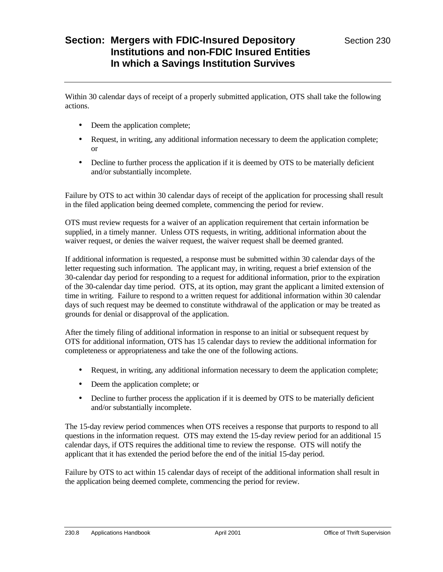Within 30 calendar days of receipt of a properly submitted application, OTS shall take the following actions.

- Deem the application complete;
- Request, in writing, any additional information necessary to deem the application complete: or
- Decline to further process the application if it is deemed by OTS to be materially deficient and/or substantially incomplete.

Failure by OTS to act within 30 calendar days of receipt of the application for processing shall result in the filed application being deemed complete, commencing the period for review.

OTS must review requests for a waiver of an application requirement that certain information be supplied, in a timely manner. Unless OTS requests, in writing, additional information about the waiver request, or denies the waiver request, the waiver request shall be deemed granted.

If additional information is requested, a response must be submitted within 30 calendar days of the letter requesting such information. The applicant may, in writing, request a brief extension of the 30-calendar day period for responding to a request for additional information, prior to the expiration of the 30-calendar day time period. OTS, at its option, may grant the applicant a limited extension of time in writing. Failure to respond to a written request for additional information within 30 calendar days of such request may be deemed to constitute withdrawal of the application or may be treated as grounds for denial or disapproval of the application.

After the timely filing of additional information in response to an initial or subsequent request by OTS for additional information, OTS has 15 calendar days to review the additional information for completeness or appropriateness and take the one of the following actions.

- Request, in writing, any additional information necessary to deem the application complete;
- Deem the application complete; or
- Decline to further process the application if it is deemed by OTS to be materially deficient and/or substantially incomplete.

The 15-day review period commences when OTS receives a response that purports to respond to all questions in the information request. OTS may extend the 15-day review period for an additional 15 calendar days, if OTS requires the additional time to review the response. OTS will notify the applicant that it has extended the period before the end of the initial 15-day period.

Failure by OTS to act within 15 calendar days of receipt of the additional information shall result in the application being deemed complete, commencing the period for review.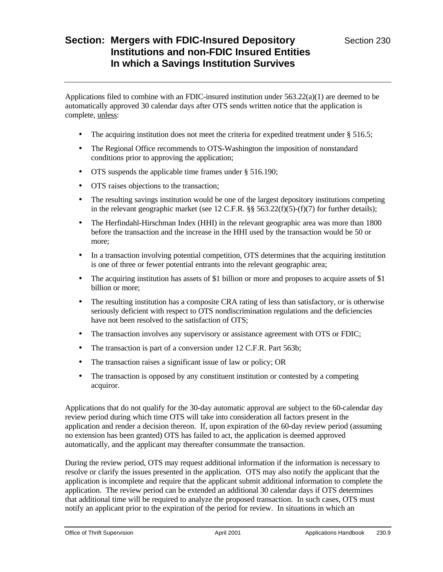Applications filed to combine with an FDIC-insured institution under  $563.22(a)(1)$  are deemed to be automatically approved 30 calendar days after OTS sends written notice that the application is complete, unless:

- The acquiring institution does not meet the criteria for expedited treatment under § 516.5;
- The Regional Office recommends to OTS-Washington the imposition of nonstandard conditions prior to approving the application;
- OTS suspends the applicable time frames under § 516.190;
- OTS raises objections to the transaction;
- The resulting savings institution would be one of the largest depository institutions competing in the relevant geographic market (see 12 C.F.R. §§ 563.22(f)(5)-(f)(7) for further details);
- The Herfindahl-Hirschman Index (HHI) in the relevant geographic area was more than 1800 before the transaction and the increase in the HHI used by the transaction would be 50 or more;
- In a transaction involving potential competition, OTS determines that the acquiring institution is one of three or fewer potential entrants into the relevant geographic area;
- The acquiring institution has assets of \$1 billion or more and proposes to acquire assets of \$1 billion or more;
- The resulting institution has a composite CRA rating of less than satisfactory, or is otherwise seriously deficient with respect to OTS nondiscrimination regulations and the deficiencies have not been resolved to the satisfaction of OTS;
- The transaction involves any supervisory or assistance agreement with OTS or FDIC;
- The transaction is part of a conversion under 12 C.F.R. Part 563b;
- The transaction raises a significant issue of law or policy; OR
- The transaction is opposed by any constituent institution or contested by a competing acquiror.

Applications that do not qualify for the 30-day automatic approval are subject to the 60-calendar day review period during which time OTS will take into consideration all factors present in the application and render a decision thereon. If, upon expiration of the 60-day review period (assuming no extension has been granted) OTS has failed to act, the application is deemed approved automatically, and the applicant may thereafter consummate the transaction.

During the review period, OTS may request additional information if the information is necessary to resolve or clarify the issues presented in the application. OTS may also notify the applicant that the application is incomplete and require that the applicant submit additional information to complete the application. The review period can be extended an additional 30 calendar days if OTS determines that additional time will be required to analyze the proposed transaction. In such cases, OTS must notify an applicant prior to the expiration of the period for review. In situations in which an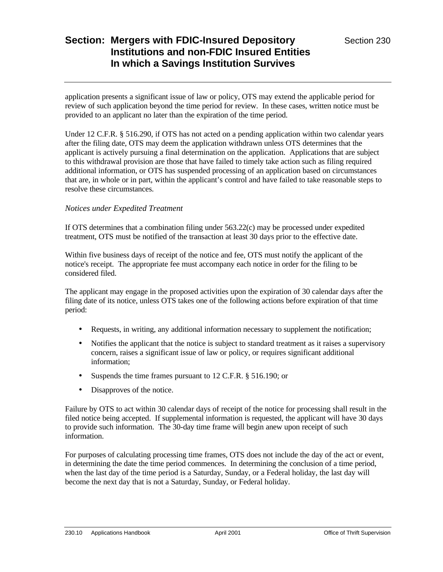application presents a significant issue of law or policy, OTS may extend the applicable period for review of such application beyond the time period for review. In these cases, written notice must be provided to an applicant no later than the expiration of the time period.

Under 12 C.F.R. § 516.290, if OTS has not acted on a pending application within two calendar years after the filing date, OTS may deem the application withdrawn unless OTS determines that the applicant is actively pursuing a final determination on the application. Applications that are subject to this withdrawal provision are those that have failed to timely take action such as filing required additional information, or OTS has suspended processing of an application based on circumstances that are, in whole or in part, within the applicant's control and have failed to take reasonable steps to resolve these circumstances.

#### *Notices under Expedited Treatment*

If OTS determines that a combination filing under  $563.22(c)$  may be processed under expedited treatment, OTS must be notified of the transaction at least 30 days prior to the effective date.

Within five business days of receipt of the notice and fee, OTS must notify the applicant of the notice's receipt. The appropriate fee must accompany each notice in order for the filing to be considered filed.

The applicant may engage in the proposed activities upon the expiration of 30 calendar days after the filing date of its notice, unless OTS takes one of the following actions before expiration of that time period:

- Requests, in writing, any additional information necessary to supplement the notification;
- Notifies the applicant that the notice is subject to standard treatment as it raises a supervisory concern, raises a significant issue of law or policy, or requires significant additional information;
- Suspends the time frames pursuant to 12 C.F.R. § 516.190; or
- Disapproves of the notice.

Failure by OTS to act within 30 calendar days of receipt of the notice for processing shall result in the filed notice being accepted. If supplemental information is requested, the applicant will have 30 days to provide such information. The 30-day time frame will begin anew upon receipt of such information.

For purposes of calculating processing time frames, OTS does not include the day of the act or event, in determining the date the time period commences. In determining the conclusion of a time period, when the last day of the time period is a Saturday, Sunday, or a Federal holiday, the last day will become the next day that is not a Saturday, Sunday, or Federal holiday.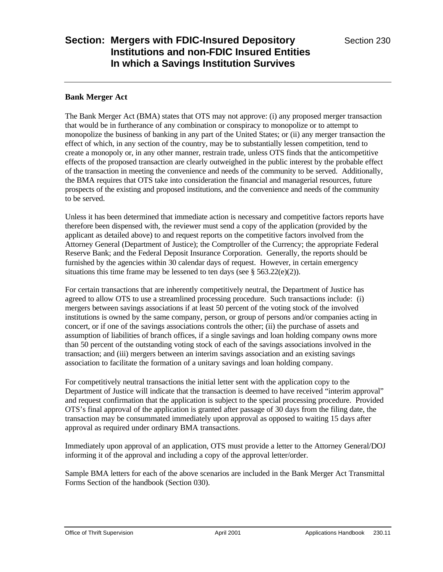#### **Bank Merger Act**

The Bank Merger Act (BMA) states that OTS may not approve: (i) any proposed merger transaction that would be in furtherance of any combination or conspiracy to monopolize or to attempt to monopolize the business of banking in any part of the United States; or (ii) any merger transaction the effect of which, in any section of the country, may be to substantially lessen competition, tend to create a monopoly or, in any other manner, restrain trade, unless OTS finds that the anticompetitive effects of the proposed transaction are clearly outweighed in the public interest by the probable effect of the transaction in meeting the convenience and needs of the community to be served. Additionally, the BMA requires that OTS take into consideration the financial and managerial resources, future prospects of the existing and proposed institutions, and the convenience and needs of the community to be served.

Unless it has been determined that immediate action is necessary and competitive factors reports have therefore been dispensed with, the reviewer must send a copy of the application (provided by the applicant as detailed above) to and request reports on the competitive factors involved from the Attorney General (Department of Justice); the Comptroller of the Currency; the appropriate Federal Reserve Bank; and the Federal Deposit Insurance Corporation. Generally, the reports should be furnished by the agencies within 30 calendar days of request. However, in certain emergency situations this time frame may be lessened to ten days (see  $\S 563.22(e)(2)$ ).

For certain transactions that are inherently competitively neutral, the Department of Justice has agreed to allow OTS to use a streamlined processing procedure. Such transactions include: (i) mergers between savings associations if at least 50 percent of the voting stock of the involved institutions is owned by the same company, person, or group of persons and/or companies acting in concert, or if one of the savings associations controls the other; (ii) the purchase of assets and assumption of liabilities of branch offices, if a single savings and loan holding company owns more than 50 percent of the outstanding voting stock of each of the savings associations involved in the transaction; and (iii) mergers between an interim savings association and an existing savings association to facilitate the formation of a unitary savings and loan holding company.

For competitively neutral transactions the initial letter sent with the application copy to the Department of Justice will indicate that the transaction is deemed to have received "interim approval" and request confirmation that the application is subject to the special processing procedure. Provided OTS's final approval of the application is granted after passage of 30 days from the filing date, the transaction may be consummated immediately upon approval as opposed to waiting 15 days after approval as required under ordinary BMA transactions.

Immediately upon approval of an application, OTS must provide a letter to the Attorney General/DOJ informing it of the approval and including a copy of the approval letter/order.

Sample BMA letters for each of the above scenarios are included in the Bank Merger Act Transmittal Forms Section of the handbook (Section 030).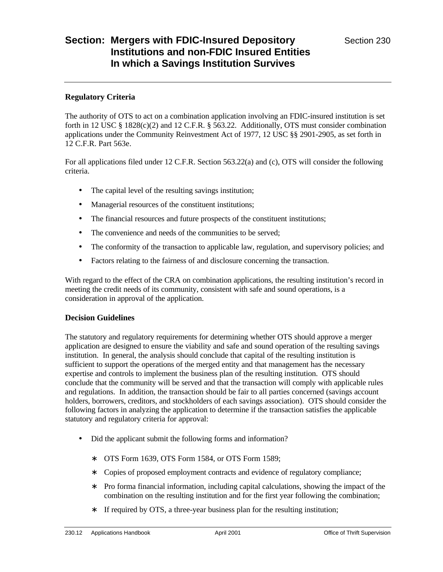#### **Regulatory Criteria**

The authority of OTS to act on a combination application involving an FDIC-insured institution is set forth in 12 USC  $\S$  1828(c)(2) and 12 C.F.R.  $\S$  563.22. Additionally, OTS must consider combination applications under the Community Reinvestment Act of 1977, 12 USC §§ 2901-2905, as set forth in 12 C.F.R. Part 563e.

For all applications filed under 12 C.F.R. Section 563.22(a) and (c), OTS will consider the following criteria.

- The capital level of the resulting savings institution;
- Managerial resources of the constituent institutions;
- The financial resources and future prospects of the constituent institutions;
- The convenience and needs of the communities to be served;
- The conformity of the transaction to applicable law, regulation, and supervisory policies; and
- Factors relating to the fairness of and disclosure concerning the transaction.

With regard to the effect of the CRA on combination applications, the resulting institution's record in meeting the credit needs of its community, consistent with safe and sound operations, is a consideration in approval of the application.

### **Decision Guidelines**

The statutory and regulatory requirements for determining whether OTS should approve a merger application are designed to ensure the viability and safe and sound operation of the resulting savings institution. In general, the analysis should conclude that capital of the resulting institution is sufficient to support the operations of the merged entity and that management has the necessary expertise and controls to implement the business plan of the resulting institution. OTS should conclude that the community will be served and that the transaction will comply with applicable rules and regulations. In addition, the transaction should be fair to all parties concerned (savings account holders, borrowers, creditors, and stockholders of each savings association). OTS should consider the following factors in analyzing the application to determine if the transaction satisfies the applicable statutory and regulatory criteria for approval:

- Did the applicant submit the following forms and information?
	- ∗ OTS Form 1639, OTS Form 1584, or OTS Form 1589;
	- ∗ Copies of proposed employment contracts and evidence of regulatory compliance;
	- ∗ Pro forma financial information, including capital calculations, showing the impact of the combination on the resulting institution and for the first year following the combination;
	- ∗ If required by OTS, a three-year business plan for the resulting institution;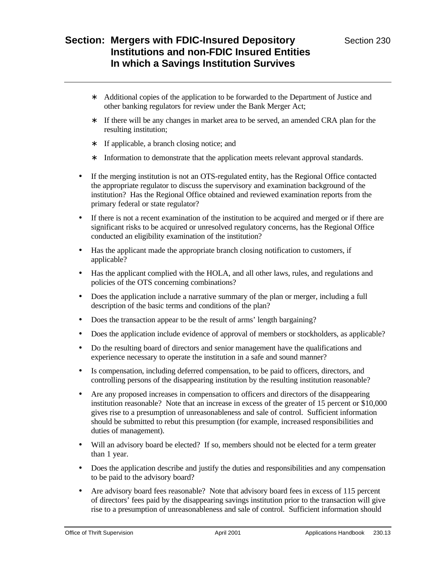- ∗ Additional copies of the application to be forwarded to the Department of Justice and other banking regulators for review under the Bank Merger Act;
- ∗ If there will be any changes in market area to be served, an amended CRA plan for the resulting institution;
- ∗ If applicable, a branch closing notice; and
- ∗ Information to demonstrate that the application meets relevant approval standards.
- If the merging institution is not an OTS-regulated entity, has the Regional Office contacted the appropriate regulator to discuss the supervisory and examination background of the institution? Has the Regional Office obtained and reviewed examination reports from the primary federal or state regulator?
- If there is not a recent examination of the institution to be acquired and merged or if there are significant risks to be acquired or unresolved regulatory concerns, has the Regional Office conducted an eligibility examination of the institution?
- Has the applicant made the appropriate branch closing notification to customers, if applicable?
- Has the applicant complied with the HOLA, and all other laws, rules, and regulations and policies of the OTS concerning combinations?
- Does the application include a narrative summary of the plan or merger, including a full description of the basic terms and conditions of the plan?
- Does the transaction appear to be the result of arms' length bargaining?
- Does the application include evidence of approval of members or stockholders, as applicable?
- Do the resulting board of directors and senior management have the qualifications and experience necessary to operate the institution in a safe and sound manner?
- Is compensation, including deferred compensation, to be paid to officers, directors, and controlling persons of the disappearing institution by the resulting institution reasonable?
- Are any proposed increases in compensation to officers and directors of the disappearing institution reasonable? Note that an increase in excess of the greater of 15 percent or \$10,000 gives rise to a presumption of unreasonableness and sale of control. Sufficient information should be submitted to rebut this presumption (for example, increased responsibilities and duties of management).
- Will an advisory board be elected? If so, members should not be elected for a term greater than 1 year.
- Does the application describe and justify the duties and responsibilities and any compensation to be paid to the advisory board?
- Are advisory board fees reasonable? Note that advisory board fees in excess of 115 percent of directors' fees paid by the disappearing savings institution prior to the transaction will give rise to a presumption of unreasonableness and sale of control. Sufficient information should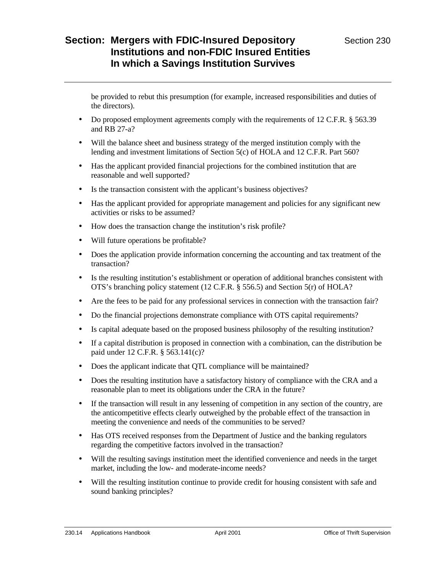be provided to rebut this presumption (for example, increased responsibilities and duties of the directors).

- Do proposed employment agreements comply with the requirements of 12 C.F.R. § 563.39 and RB 27-a?
- Will the balance sheet and business strategy of the merged institution comply with the lending and investment limitations of Section 5(c) of HOLA and 12 C.F.R. Part 560?
- Has the applicant provided financial projections for the combined institution that are reasonable and well supported?
- Is the transaction consistent with the applicant's business objectives?
- Has the applicant provided for appropriate management and policies for any significant new activities or risks to be assumed?
- How does the transaction change the institution's risk profile?
- Will future operations be profitable?
- Does the application provide information concerning the accounting and tax treatment of the transaction?
- Is the resulting institution's establishment or operation of additional branches consistent with OTS's branching policy statement (12 C.F.R. § 556.5) and Section 5(r) of HOLA?
- Are the fees to be paid for any professional services in connection with the transaction fair?
- Do the financial projections demonstrate compliance with OTS capital requirements?
- Is capital adequate based on the proposed business philosophy of the resulting institution?
- If a capital distribution is proposed in connection with a combination, can the distribution be paid under 12 C.F.R. § 563.141(c)?
- Does the applicant indicate that QTL compliance will be maintained?
- Does the resulting institution have a satisfactory history of compliance with the CRA and a reasonable plan to meet its obligations under the CRA in the future?
- If the transaction will result in any lessening of competition in any section of the country, are the anticompetitive effects clearly outweighed by the probable effect of the transaction in meeting the convenience and needs of the communities to be served?
- Has OTS received responses from the Department of Justice and the banking regulators regarding the competitive factors involved in the transaction?
- Will the resulting savings institution meet the identified convenience and needs in the target market, including the low- and moderate-income needs?
- Will the resulting institution continue to provide credit for housing consistent with safe and sound banking principles?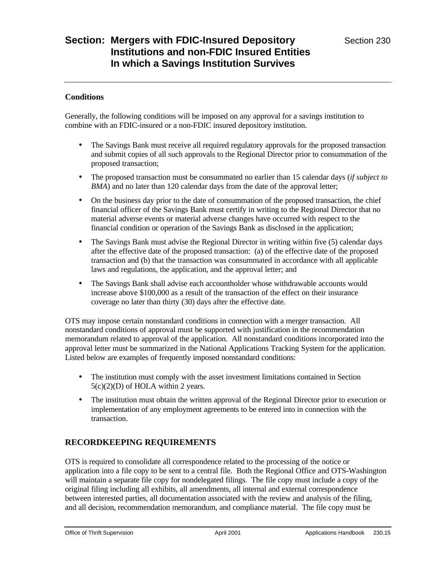#### **Conditions**

Generally, the following conditions will be imposed on any approval for a savings institution to combine with an FDIC-insured or a non-FDIC insured depository institution.

- The Savings Bank must receive all required regulatory approvals for the proposed transaction and submit copies of all such approvals to the Regional Director prior to consummation of the proposed transaction;
- The proposed transaction must be consummated no earlier than 15 calendar days (*if subject to BMA*) and no later than 120 calendar days from the date of the approval letter;
- On the business day prior to the date of consummation of the proposed transaction, the chief financial officer of the Savings Bank must certify in writing to the Regional Director that no material adverse events or material adverse changes have occurred with respect to the financial condition or operation of the Savings Bank as disclosed in the application;
- The Savings Bank must advise the Regional Director in writing within five (5) calendar days after the effective date of the proposed transaction: (a) of the effective date of the proposed transaction and (b) that the transaction was consummated in accordance with all applicable laws and regulations, the application, and the approval letter; and
- The Savings Bank shall advise each accountholder whose withdrawable accounts would increase above \$100,000 as a result of the transaction of the effect on their insurance coverage no later than thirty (30) days after the effective date.

OTS may impose certain nonstandard conditions in connection with a merger transaction. All nonstandard conditions of approval must be supported with justification in the recommendation memorandum related to approval of the application. All nonstandard conditions incorporated into the approval letter must be summarized in the National Applications Tracking System for the application. Listed below are examples of frequently imposed nonstandard conditions:

- The institution must comply with the asset investment limitations contained in Section  $5(c)(2)(D)$  of HOLA within 2 years.
- The institution must obtain the written approval of the Regional Director prior to execution or implementation of any employment agreements to be entered into in connection with the transaction.

## **RECORDKEEPING REQUIREMENTS**

OTS is required to consolidate all correspondence related to the processing of the notice or application into a file copy to be sent to a central file. Both the Regional Office and OTS-Washington will maintain a separate file copy for nondelegated filings. The file copy must include a copy of the original filing including all exhibits, all amendments, all internal and external correspondence between interested parties, all documentation associated with the review and analysis of the filing, and all decision, recommendation memorandum, and compliance material. The file copy must be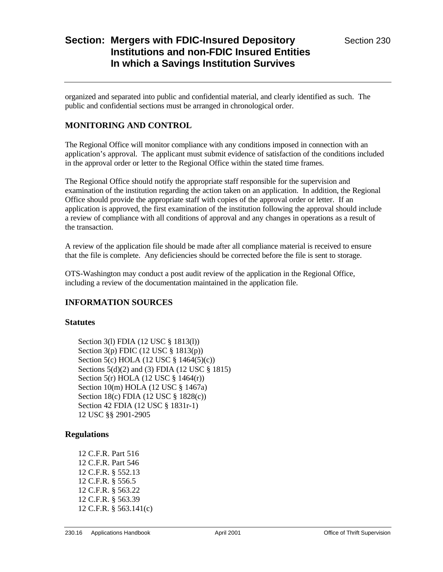organized and separated into public and confidential material, and clearly identified as such. The public and confidential sections must be arranged in chronological order.

### **MONITORING AND CONTROL**

The Regional Office will monitor compliance with any conditions imposed in connection with an application's approval. The applicant must submit evidence of satisfaction of the conditions included in the approval order or letter to the Regional Office within the stated time frames.

The Regional Office should notify the appropriate staff responsible for the supervision and examination of the institution regarding the action taken on an application. In addition, the Regional Office should provide the appropriate staff with copies of the approval order or letter. If an application is approved, the first examination of the institution following the approval should include a review of compliance with all conditions of approval and any changes in operations as a result of the transaction.

A review of the application file should be made after all compliance material is received to ensure that the file is complete. Any deficiencies should be corrected before the file is sent to storage.

OTS-Washington may conduct a post audit review of the application in the Regional Office, including a review of the documentation maintained in the application file.

### **INFORMATION SOURCES**

#### **Statutes**

Section 3(l) FDIA (12 USC § 1813(l)) Section 3(p) FDIC (12 USC § 1813(p)) Section 5(c) HOLA (12 USC § 1464(5)(c)) Sections 5(d)(2) and (3) FDIA (12 USC § 1815) Section 5(r) HOLA (12 USC § 1464(r)) Section 10(m) HOLA (12 USC § 1467a) Section 18(c) FDIA (12 USC § 1828(c)) Section 42 FDIA (12 USC § 1831r-1) 12 USC §§ 2901-2905

### **Regulations**

12 C.F.R. Part 516 12 C.F.R. Part 546 12 C.F.R. § 552.13 12 C.F.R. § 556.5 12 C.F.R. § 563.22 12 C.F.R. § 563.39 12 C.F.R. § 563.141(c)